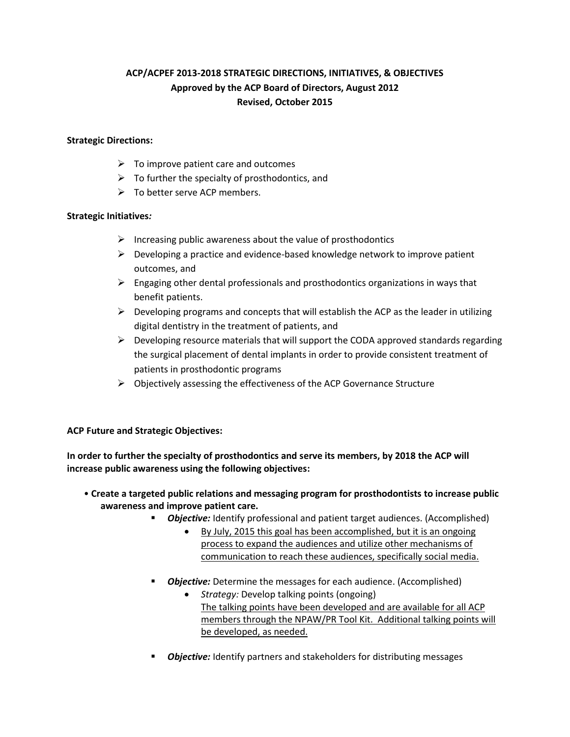# **ACP/ACPEF 2013-2018 STRATEGIC DIRECTIONS, INITIATIVES, & OBJECTIVES Approved by the ACP Board of Directors, August 2012 Revised, October 2015**

### **Strategic Directions:**

- $\triangleright$  To improve patient care and outcomes
- $\triangleright$  To further the specialty of prosthodontics, and
- $\triangleright$  To better serve ACP members.

### **Strategic Initiatives***:*

- $\triangleright$  Increasing public awareness about the value of prosthodontics
- $\triangleright$  Developing a practice and evidence-based knowledge network to improve patient outcomes, and
- $\triangleright$  Engaging other dental professionals and prosthodontics organizations in ways that benefit patients.
- $\triangleright$  Developing programs and concepts that will establish the ACP as the leader in utilizing digital dentistry in the treatment of patients, and
- $\triangleright$  Developing resource materials that will support the CODA approved standards regarding the surgical placement of dental implants in order to provide consistent treatment of patients in prosthodontic programs
- $\triangleright$  Objectively assessing the effectiveness of the ACP Governance Structure

### **ACP Future and Strategic Objectives:**

**In order to further the specialty of prosthodontics and serve its members, by 2018 the ACP will increase public awareness using the following objectives:**

- **Create a targeted public relations and messaging program for prosthodontists to increase public awareness and improve patient care.** 
	- **Objective:** Identify professional and patient target audiences. (Accomplished)
		- By July, 2015 this goal has been accomplished, but it is an ongoing process to expand the audiences and utilize other mechanisms of communication to reach these audiences, specifically social media.
	- **Dbjective:** Determine the messages for each audience. (Accomplished)
		- *Strategy:* Develop talking points (ongoing) The talking points have been developed and are available for all ACP members through the NPAW/PR Tool Kit. Additional talking points will be developed, as needed.
	- **Dbjective:** Identify partners and stakeholders for distributing messages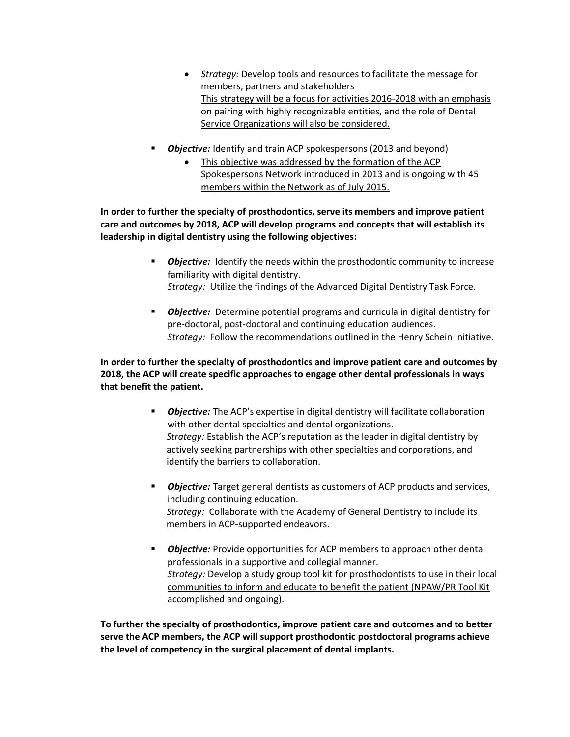- *Strategy:* Develop tools and resources to facilitate the message for members, partners and stakeholders This strategy will be a focus for activities 2016-2018 with an emphasis on pairing with highly recognizable entities, and the role of Dental Service Organizations will also be considered.
- **Objective:** Identify and train ACP spokespersons (2013 and beyond)
	- This objective was addressed by the formation of the ACP Spokespersons Network introduced in 2013 and is ongoing with 45 members within the Network as of July 2015.

**In order to further the specialty of prosthodontics, serve its members and improve patient care and outcomes by 2018, ACP will develop programs and concepts that will establish its leadership in digital dentistry using the following objectives:** 

- **Diective:** Identify the needs within the prosthodontic community to increase familiarity with digital dentistry. *Strategy:* Utilize the findings of the Advanced Digital Dentistry Task Force.
- **Dbjective:** Determine potential programs and curricula in digital dentistry for pre-doctoral, post-doctoral and continuing education audiences. *Strategy:* Follow the recommendations outlined in the Henry Schein Initiative.

**In order to further the specialty of prosthodontics and improve patient care and outcomes by 2018, the ACP will create specific approaches to engage other dental professionals in ways that benefit the patient.**

- *Objective:* The ACP's expertise in digital dentistry will facilitate collaboration with other dental specialties and dental organizations.  *Strategy:* Establish the ACP's reputation as the leader in digital dentistry by actively seeking partnerships with other specialties and corporations, and identify the barriers to collaboration.
- **Dbjective:** Target general dentists as customers of ACP products and services, including continuing education.  *Strategy:* Collaborate with the Academy of General Dentistry to include its members in ACP-supported endeavors.
- *Objective:* Provide opportunities for ACP members to approach other dental professionals in a supportive and collegial manner. *Strategy:* Develop a study group tool kit for prosthodontists to use in their local communities to inform and educate to benefit the patient (NPAW/PR Tool Kit accomplished and ongoing).

**To further the specialty of prosthodontics, improve patient care and outcomes and to better serve the ACP members, the ACP will support prosthodontic postdoctoral programs achieve the level of competency in the surgical placement of dental implants.**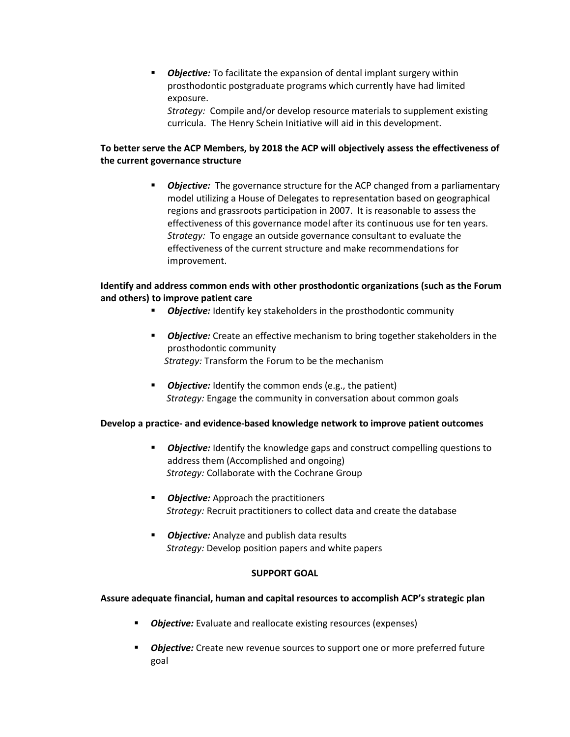*Objective:* To facilitate the expansion of dental implant surgery within prosthodontic postgraduate programs which currently have had limited exposure.

*Strategy:* Compile and/or develop resource materials to supplement existing curricula. The Henry Schein Initiative will aid in this development.

## **To better serve the ACP Members, by 2018 the ACP will objectively assess the effectiveness of the current governance structure**

 *Objective:* The governance structure for the ACP changed from a parliamentary model utilizing a House of Delegates to representation based on geographical regions and grassroots participation in 2007. It is reasonable to assess the effectiveness of this governance model after its continuous use for ten years. *Strategy:* To engage an outside governance consultant to evaluate the effectiveness of the current structure and make recommendations for improvement.

### **Identify and address common ends with other prosthodontic organizations (such as the Forum and others) to improve patient care**

- **Dbjective:** Identify key stakeholders in the prosthodontic community
- *Objective:* Create an effective mechanism to bring together stakeholders in the prosthodontic community  *Strategy:* Transform the Forum to be the mechanism
- **Diective:** Identify the common ends (e.g., the patient)  *Strategy:* Engage the community in conversation about common goals

### **Develop a practice- and evidence-based knowledge network to improve patient outcomes**

- **Diective:** Identify the knowledge gaps and construct compelling questions to address them (Accomplished and ongoing)  *Strategy:* Collaborate with the Cochrane Group
- **Diective:** Approach the practitioners  *Strategy:* Recruit practitioners to collect data and create the database
- **Diective:** Analyze and publish data results  *Strategy:* Develop position papers and white papers

### **SUPPORT GOAL**

### **Assure adequate financial, human and capital resources to accomplish ACP's strategic plan**

- **Objective:** Evaluate and reallocate existing resources (expenses)
- *Objective:* Create new revenue sources to support one or more preferred future goal